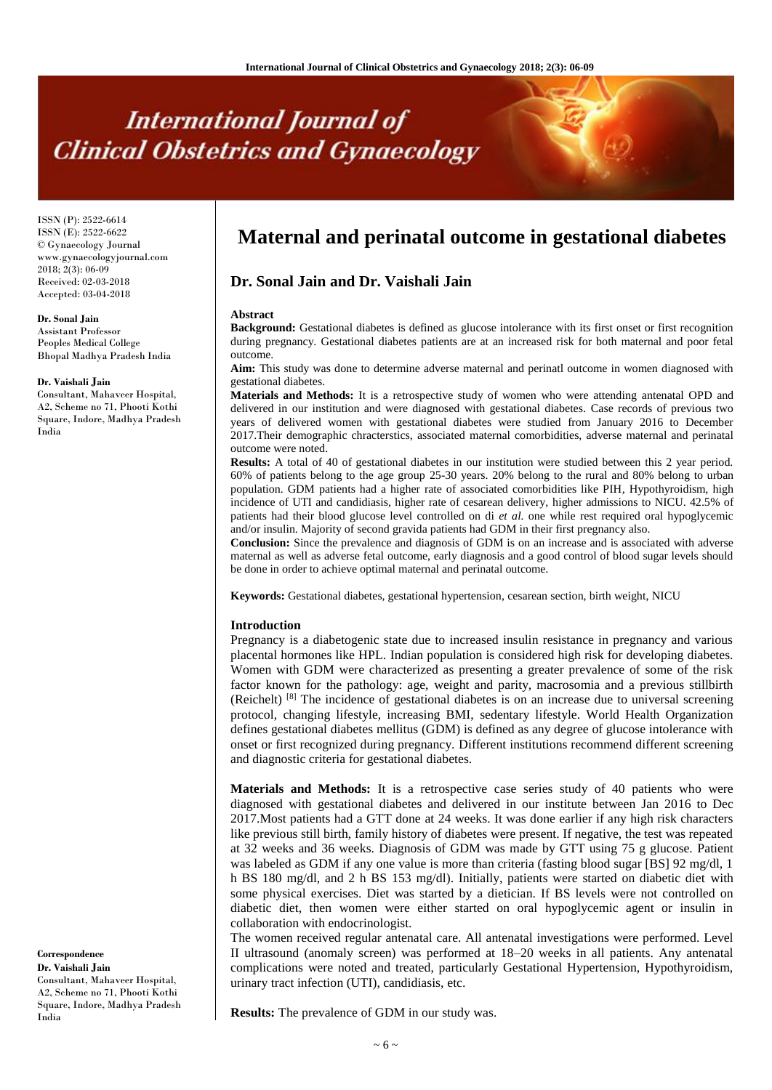# **International Journal of Clinical Obstetrics and Gynaecology**

ISSN (P): 2522-6614 ISSN (E): 2522-6622 © Gynaecology Journal www.gynaecologyjournal.com 2018; 2(3): 06-09 Received: 02-03-2018 Accepted: 03-04-2018

## **Dr. Sonal Jain**

Assistant Professor Peoples Medical College Bhopal Madhya Pradesh India

#### **Dr. Vaishali Jain**

Consultant, Mahaveer Hospital, A2, Scheme no 71, Phooti Kothi Square, Indore, Madhya Pradesh India

**Correspondence Dr. Vaishali Jain** Consultant, Mahaveer Hospital, A2, Scheme no 71, Phooti Kothi Square, Indore, Madhya Pradesh India

# **Maternal and perinatal outcome in gestational diabetes**

# **Dr. Sonal Jain and Dr. Vaishali Jain**

#### **Abstract**

**Background:** Gestational diabetes is defined as glucose intolerance with its first onset or first recognition during pregnancy. Gestational diabetes patients are at an increased risk for both maternal and poor fetal outcome.

**Aim:** This study was done to determine adverse maternal and perinatl outcome in women diagnosed with gestational diabetes.

**Materials and Methods:** It is a retrospective study of women who were attending antenatal OPD and delivered in our institution and were diagnosed with gestational diabetes. Case records of previous two years of delivered women with gestational diabetes were studied from January 2016 to December 2017.Their demographic chracterstics, associated maternal comorbidities, adverse maternal and perinatal outcome were noted.

**Results:** A total of 40 of gestational diabetes in our institution were studied between this 2 year period. 60% of patients belong to the age group 25-30 years. 20% belong to the rural and 80% belong to urban population. GDM patients had a higher rate of associated comorbidities like PIH*,* Hypothyroidism, high incidence of UTI and candidiasis, higher rate of cesarean delivery, higher admissions to NICU. 42.5% of patients had their blood glucose level controlled on di *et al.* one while rest required oral hypoglycemic and/or insulin. Majority of second gravida patients had GDM in their first pregnancy also.

**Conclusion:** Since the prevalence and diagnosis of GDM is on an increase and is associated with adverse maternal as well as adverse fetal outcome, early diagnosis and a good control of blood sugar levels should be done in order to achieve optimal maternal and perinatal outcome.

**Keywords:** Gestational diabetes, gestational hypertension, cesarean section, birth weight, NICU

### **Introduction**

Pregnancy is a diabetogenic state due to increased insulin resistance in pregnancy and various placental hormones like HPL. Indian population is considered high risk for developing diabetes. Women with GDM were characterized as presenting a greater prevalence of some of the risk factor known for the pathology: age, weight and parity, macrosomia and a previous stillbirth (Reichelt) [8] The incidence of gestational diabetes is on an increase due to universal screening protocol, changing lifestyle, increasing BMI, sedentary lifestyle. World Health Organization defines gestational diabetes mellitus (GDM) is defined as any degree of glucose intolerance with onset or first recognized during pregnancy. Different institutions recommend different screening and diagnostic criteria for gestational diabetes.

**Materials and Methods:** It is a retrospective case series study of 40 patients who were diagnosed with gestational diabetes and delivered in our institute between Jan 2016 to Dec 2017.Most patients had a GTT done at 24 weeks. It was done earlier if any high risk characters like previous still birth, family history of diabetes were present. If negative, the test was repeated at 32 weeks and 36 weeks. Diagnosis of GDM was made by GTT using 75 g glucose. Patient was labeled as GDM if any one value is more than criteria (fasting blood sugar [BS] 92 mg/dl, 1 h BS 180 mg/dl, and 2 h BS 153 mg/dl). Initially, patients were started on diabetic diet with some physical exercises. Diet was started by a dietician. If BS levels were not controlled on diabetic diet, then women were either started on oral hypoglycemic agent or insulin in collaboration with endocrinologist.

The women received regular antenatal care. All antenatal investigations were performed. Level II ultrasound (anomaly screen) was performed at 18–20 weeks in all patients. Any antenatal complications were noted and treated, particularly Gestational Hypertension, Hypothyroidism, urinary tract infection (UTI), candidiasis, etc.

**Results:** The prevalence of GDM in our study was.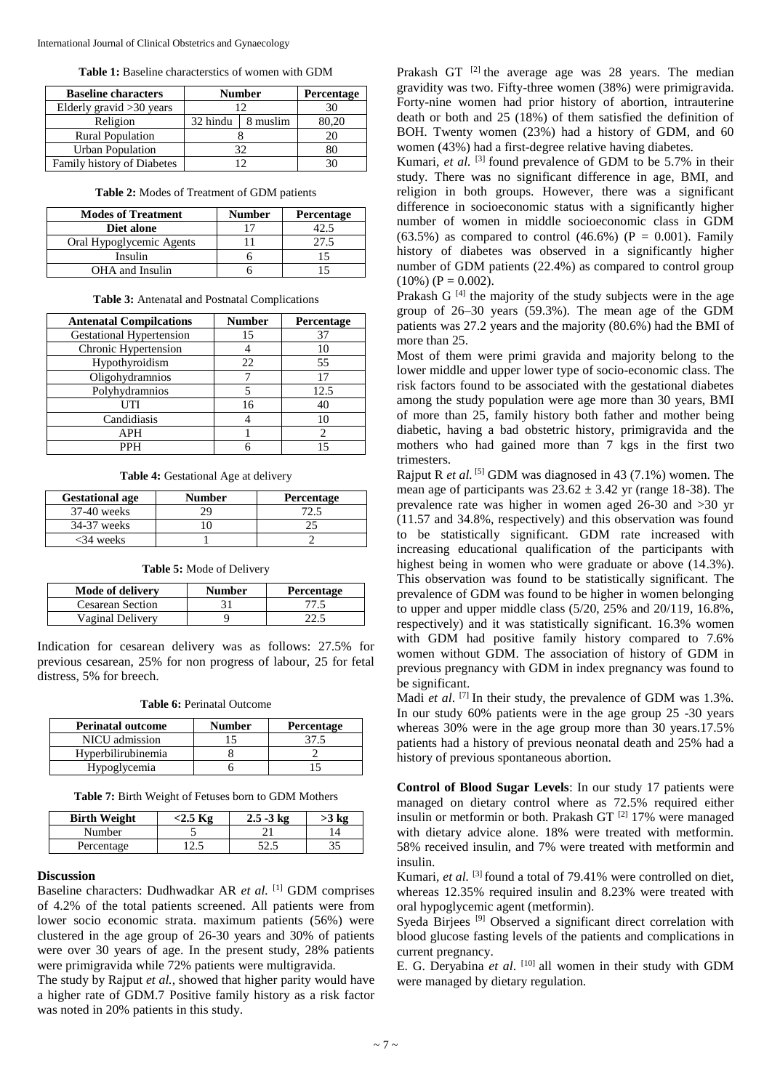| Table 1: Baseline characterstics of women with GDM |  |
|----------------------------------------------------|--|
|----------------------------------------------------|--|

| <b>Baseline characters</b> | <b>Number</b> |          | Percentage |
|----------------------------|---------------|----------|------------|
| Elderly gravid $>30$ years |               |          | 30         |
| Religion                   | 32 hindu      | 8 muslim | 80,20      |
| <b>Rural Population</b>    |               |          |            |
| <b>Urban Population</b>    | 32            |          |            |
| Family history of Diabetes |               |          |            |

| <b>Modes of Treatment</b> | <b>Number</b> | Percentage |
|---------------------------|---------------|------------|
| Diet alone                |               |            |
| Oral Hypoglycemic Agents  |               |            |
| Insulin                   |               |            |
| OHA and Insulin           |               |            |

**Table 2:** Modes of Treatment of GDM patients

| Table 3: Antenatal and Postnatal Complications |  |
|------------------------------------------------|--|
|------------------------------------------------|--|

| <b>Antenatal Compilcations</b>  | <b>Number</b> | Percentage |
|---------------------------------|---------------|------------|
| <b>Gestational Hypertension</b> | 15            | 37         |
| Chronic Hypertension            |               | 10         |
| Hypothyroidism                  | 22            | 55         |
| Oligohydramnios                 |               | 17         |
| Polyhydramnios                  |               | 12.5       |
| UTI                             | 16            | 40         |
| Candidiasis                     |               | 10         |
| APH                             |               |            |
| <b>PPH</b>                      |               |            |

**Table 4:** Gestational Age at delivery

| <b>Gestational age</b> | <b>Number</b> | <b>Percentage</b> |
|------------------------|---------------|-------------------|
| 37-40 weeks            |               |                   |
| 34-37 weeks            |               |                   |
| $<34$ weeks            |               |                   |

**Table 5:** Mode of Delivery

| <b>Mode of delivery</b> | <b>Number</b> | <b>Percentage</b> |
|-------------------------|---------------|-------------------|
| <b>Cesarean Section</b> |               |                   |
| Vaginal Delivery        |               |                   |

Indication for cesarean delivery was as follows: 27.5% for previous cesarean, 25% for non progress of labour, 25 for fetal distress, 5% for breech.

|--|

| <b>Perinatal outcome</b> | <b>Number</b> | <b>Percentage</b> |
|--------------------------|---------------|-------------------|
| NICU admission           |               | 37.5              |
| Hyperbilirubinemia       |               |                   |
| Hypoglycemia             |               |                   |

**Table 7:** Birth Weight of Fetuses born to GDM Mothers

| <b>Birth Weight</b> | <2.5 Kg | $2.5 - 3 \text{ kg}$ | >3 kg |
|---------------------|---------|----------------------|-------|
| Number              |         |                      |       |
| Percentage          |         |                      |       |

# **Discussion**

Baseline characters: Dudhwadkar AR *et al.* [1] GDM comprises of 4.2% of the total patients screened. All patients were from lower socio economic strata. maximum patients (56%) were clustered in the age group of 26-30 years and 30% of patients were over 30 years of age. In the present study, 28% patients were primigravida while 72% patients were multigravida.

The study by Rajput *et al.*, showed that higher parity would have a higher rate of GDM.7 Positive family history as a risk factor was noted in 20% patients in this study.

Prakash GT  $^{[2]}$  the average age was 28 years. The median gravidity was two. Fifty-three women (38%) were primigravida. Forty-nine women had prior history of abortion, intrauterine death or both and 25 (18%) of them satisfied the definition of BOH. Twenty women (23%) had a history of GDM, and 60 women (43%) had a first-degree relative having diabetes.

Kumari, *et al.* <sup>[3]</sup> found prevalence of GDM to be 5.7% in their study. There was no significant difference in age, BMI, and religion in both groups. However, there was a significant difference in socioeconomic status with a significantly higher number of women in middle socioeconomic class in GDM (63.5%) as compared to control (46.6%) ( $P = 0.001$ ). Family history of diabetes was observed in a significantly higher number of GDM patients (22.4%) as compared to control group  $(10\%) (P = 0.002)$ .

Prakash G<sup>[4]</sup> the majority of the study subjects were in the age group of 26–30 years (59.3%). The mean age of the GDM patients was 27.2 years and the majority (80.6%) had the BMI of more than 25.

Most of them were primi gravida and majority belong to the lower middle and upper lower type of socio-economic class. The risk factors found to be associated with the gestational diabetes among the study population were age more than 30 years, BMI of more than 25, family history both father and mother being diabetic, having a bad obstetric history, primigravida and the mothers who had gained more than 7 kgs in the first two trimesters.

Rajput R *et al.* <sup>[5]</sup> GDM was diagnosed in 43 (7.1%) women. The mean age of participants was  $23.62 \pm 3.42$  yr (range 18-38). The prevalence rate was higher in women aged 26-30 and >30 yr (11.57 and 34.8%, respectively) and this observation was found to be statistically significant. GDM rate increased with increasing educational qualification of the participants with highest being in women who were graduate or above (14.3%). This observation was found to be statistically significant. The prevalence of GDM was found to be higher in women belonging to upper and upper middle class (5/20, 25% and 20/119, 16.8%, respectively) and it was statistically significant. 16.3% women with GDM had positive family history compared to 7.6% women without GDM. The association of history of GDM in previous pregnancy with GDM in index pregnancy was found to be significant.

Madi *et al.* <sup>[7]</sup> In their study, the prevalence of GDM was 1.3%. In our study 60% patients were in the age group 25 -30 years whereas 30% were in the age group more than 30 years.17.5% patients had a history of previous neonatal death and 25% had a history of previous spontaneous abortion.

**Control of Blood Sugar Levels**: In our study 17 patients were managed on dietary control where as 72.5% required either insulin or metformin or both. Prakash GT  $^{[2]}$  17% were managed with dietary advice alone. 18% were treated with metformin. 58% received insulin, and 7% were treated with metformin and insulin.

Kumari, *et al.* <sup>[3]</sup> found a total of 79.41% were controlled on diet, whereas 12.35% required insulin and 8.23% were treated with oral hypoglycemic agent (metformin).

Syeda Birjees <sup>[9]</sup> Observed a significant direct correlation with blood glucose fasting levels of the patients and complications in current pregnancy.

E. G. Deryabina et al. <sup>[10]</sup> all women in their study with GDM were managed by dietary regulation.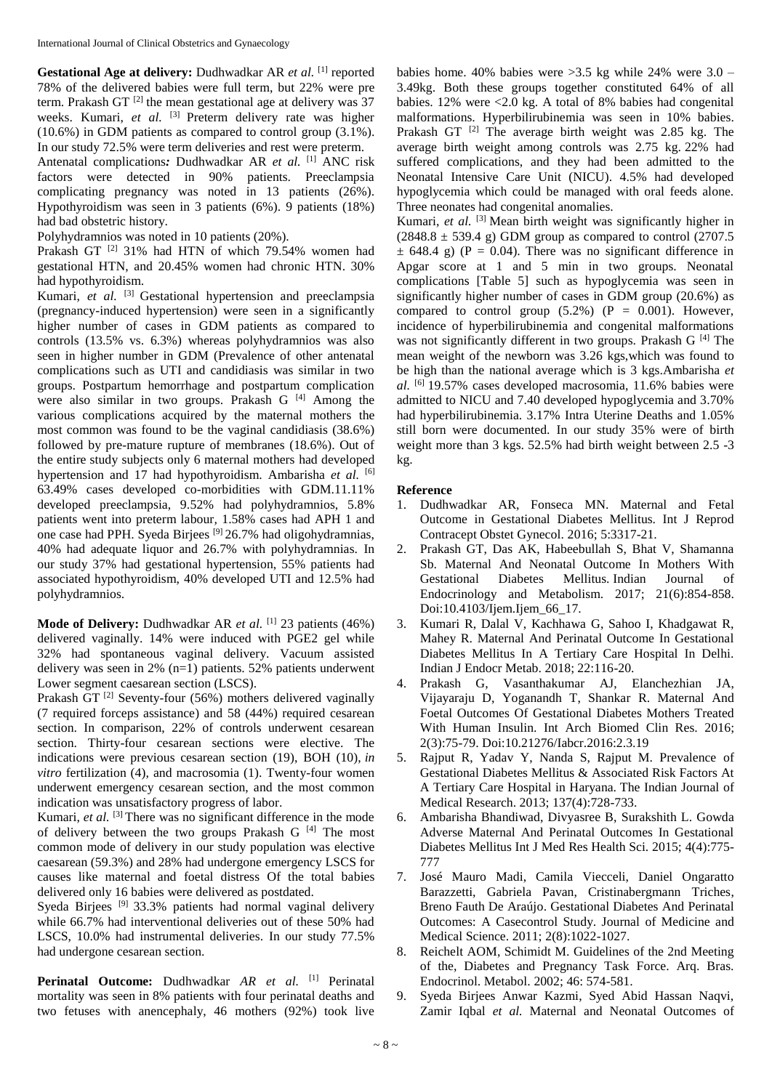**Gestational Age at delivery:** Dudhwadkar AR *et al.* [1] reported 78% of the delivered babies were full term, but 22% were pre term. Prakash GT  $^{[2]}$  the mean gestational age at delivery was 37 weeks. Kumari, et al. <sup>[3]</sup> Preterm delivery rate was higher (10.6%) in GDM patients as compared to control group (3.1%). In our study 72.5% were term deliveries and rest were preterm.

Antenatal complications: Dudhwadkar AR et al. [1] ANC risk factors were detected in 90% patients. Preeclampsia complicating pregnancy was noted in 13 patients (26%). Hypothyroidism was seen in 3 patients (6%). 9 patients (18%) had bad obstetric history.

Polyhydramnios was noted in 10 patients (20%).

Prakash GT<sup>[2]</sup> 31% had HTN of which 79.54% women had gestational HTN, and 20.45% women had chronic HTN. 30% had hypothyroidism.

Kumari, et al. <sup>[3]</sup> Gestational hypertension and preeclampsia (pregnancy-induced hypertension) were seen in a significantly higher number of cases in GDM patients as compared to controls (13.5% vs. 6.3%) whereas polyhydramnios was also seen in higher number in GDM (Prevalence of other antenatal complications such as UTI and candidiasis was similar in two groups. Postpartum hemorrhage and postpartum complication were also similar in two groups. Prakash G [4] Among the various complications acquired by the maternal mothers the most common was found to be the vaginal candidiasis (38.6%) followed by pre-mature rupture of membranes (18.6%). Out of the entire study subjects only 6 maternal mothers had developed hypertension and 17 had hypothyroidism. Ambarisha *et al.* [6] 63.49% cases developed co-morbidities with GDM.11.11% developed preeclampsia, 9.52% had polyhydramnios, 5.8% patients went into preterm labour*,* 1.58% cases had APH 1 and one case had PPH. Syeda Birjees  $[9]$  26.7% had oligohydramnias, 40% had adequate liquor and 26.7% with polyhydramnias. In our study 37% had gestational hypertension, 55% patients had associated hypothyroidism, 40% developed UTI and 12.5% had polyhydramnios.

**Mode of Delivery:** Dudhwadkar AR *et al.* <sup>[1]</sup> 23 patients (46%) delivered vaginally. 14% were induced with PGE2 gel while 32% had spontaneous vaginal delivery. Vacuum assisted delivery was seen in 2% (n=1) patients. 52% patients underwent Lower segment caesarean section (LSCS).

Prakash GT $^{[2]}$  Seventy-four (56%) mothers delivered vaginally (7 required forceps assistance) and 58 (44%) required cesarean section. In comparison, 22% of controls underwent cesarean section. Thirty-four cesarean sections were elective. The indications were previous cesarean section (19), BOH (10), *in vitro* fertilization (4), and macrosomia (1). Twenty-four women underwent emergency cesarean section, and the most common indication was unsatisfactory progress of labor.

Kumari, et al. <sup>[3]</sup> There was no significant difference in the mode of delivery between the two groups Prakash G [4] The most common mode of delivery in our study population was elective caesarean (59.3%) and 28% had undergone emergency LSCS for causes like maternal and foetal distress Of the total babies delivered only 16 babies were delivered as postdated.

Syeda Birjees <sup>[9]</sup> 33.3% patients had normal vaginal delivery while 66.7% had interventional deliveries out of these 50% had LSCS, 10.0% had instrumental deliveries. In our study 77.5% had undergone cesarean section.

**Perinatal Outcome:** Dudhwadkar *AR et al.* [1] Perinatal mortality was seen in 8% patients with four perinatal deaths and two fetuses with anencephaly, 46 mothers (92%) took live

babies home. 40% babies were >3.5 kg while 24% were 3.0 – 3.49kg. Both these groups together constituted 64% of all babies.  $12\%$  were  $\lt 2.0$  kg. A total of 8% babies had congenital malformations. Hyperbilirubinemia was seen in 10% babies. Prakash GT<sup>[2]</sup> The average birth weight was 2.85 kg. The average birth weight among controls was 2.75 kg. 22% had suffered complications, and they had been admitted to the Neonatal Intensive Care Unit (NICU). 4.5% had developed hypoglycemia which could be managed with oral feeds alone. Three neonates had congenital anomalies.

Kumari, et al. <sup>[3]</sup> Mean birth weight was significantly higher in  $(2848.8 \pm 539.4 \text{ g})$  GDM group as compared to control  $(2707.5$  $\pm$  648.4 g) (P = 0.04). There was no significant difference in Apgar score at 1 and 5 min in two groups. Neonatal complications [Table 5] such as hypoglycemia was seen in significantly higher number of cases in GDM group (20.6%) as compared to control group  $(5.2%)$   $(P = 0.001)$ . However, incidence of hyperbilirubinemia and congenital malformations was not significantly different in two groups. Prakash G [4] The mean weight of the newborn was 3.26 kgs,which was found to be high than the national average which is 3 kgs.Ambarisha *et al.* [6] 19.57% cases developed macrosomia, 11.6% babies were admitted to NICU and 7.40 developed hypoglycemia and 3.70% had hyperbilirubinemia. 3.17% Intra Uterine Deaths and 1.05% still born were documented. In our study 35% were of birth weight more than 3 kgs. 52.5% had birth weight between 2.5 -3 kg.

# **Reference**

- 1. Dudhwadkar AR, Fonseca MN. Maternal and Fetal Outcome in Gestational Diabetes Mellitus. Int J Reprod Contracept Obstet Gynecol. 2016; 5:3317-21.
- 2. Prakash GT, Das AK, Habeebullah S, Bhat V, Shamanna Sb. Maternal And Neonatal Outcome In Mothers With Gestational Diabetes Mellitus. Indian Journal of Endocrinology and Metabolism. 2017; 21(6):854-858. Doi:10.4103/Ijem.Ijem\_66\_17.
- 3. Kumari R, Dalal V, Kachhawa G, Sahoo I, Khadgawat R, Mahey R. Maternal And Perinatal Outcome In Gestational Diabetes Mellitus In A Tertiary Care Hospital In Delhi. Indian J Endocr Metab. 2018; 22:116-20.
- 4. Prakash G, Vasanthakumar AJ, Elanchezhian JA, Vijayaraju D, Yoganandh T, Shankar R. Maternal And Foetal Outcomes Of Gestational Diabetes Mothers Treated With Human Insulin. Int Arch Biomed Clin Res. 2016; 2(3):75-79. Doi:10.21276/Iabcr.2016:2.3.19
- 5. Rajput R, Yadav Y, Nanda S, Rajput M. Prevalence of Gestational Diabetes Mellitus & Associated Risk Factors At A Tertiary Care Hospital in Haryana. The Indian Journal of Medical Research. 2013; 137(4):728-733.
- 6. Ambarisha Bhandiwad, Divyasree B, Surakshith L. Gowda Adverse Maternal And Perinatal Outcomes In Gestational Diabetes Mellitus Int J Med Res Health Sci. 2015; 4(4):775- 777
- 7. José Mauro Madi, Camila Viecceli, Daniel Ongaratto Barazzetti, Gabriela Pavan, Cristinabergmann Triches, Breno Fauth De Araújo. Gestational Diabetes And Perinatal Outcomes: A Casecontrol Study. Journal of Medicine and Medical Science. 2011; 2(8):1022-1027.
- 8. Reichelt AOM, Schimidt M. Guidelines of the 2nd Meeting of the, Diabetes and Pregnancy Task Force. Arq. Bras. Endocrinol. Metabol. 2002; 46: 574-581.
- 9. Syeda Birjees Anwar Kazmi, Syed Abid Hassan Naqvi, Zamir Iqbal *et al.* Maternal and Neonatal Outcomes of